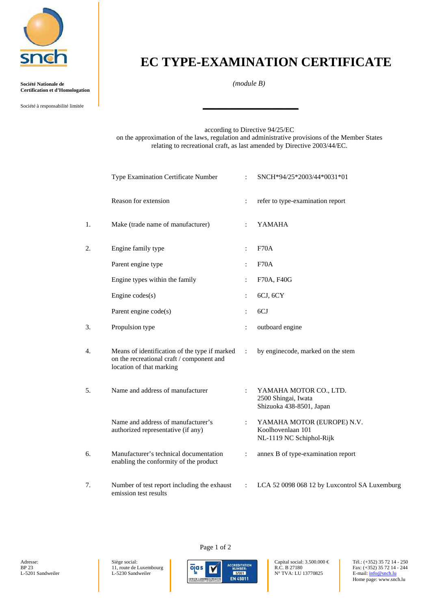

**Société Nationale de** *(module B)* **Certification et d'Homologation**

Société à responsabilité limitée **\_\_\_\_\_\_\_\_\_\_\_\_\_\_\_\_\_\_\_\_\_\_**

## **EC TYPE-EXAMINATION CERTIFICATE**

according to Directive 94/25/EC on the approximation of the laws, regulation and administrative provisions of the Member States relating to recreational craft, as last amended by Directive 2003/44/EC.

|    | Type Examination Certificate Number                                                                                    |                      | SNCH*94/25*2003/44*0031*01                                                  |
|----|------------------------------------------------------------------------------------------------------------------------|----------------------|-----------------------------------------------------------------------------|
|    | Reason for extension                                                                                                   | $\ddot{\cdot}$       | refer to type-examination report                                            |
| 1. | Make (trade name of manufacturer)                                                                                      | $\ddot{\cdot}$       | <b>YAMAHA</b>                                                               |
| 2. | Engine family type                                                                                                     |                      | F70A                                                                        |
|    | Parent engine type                                                                                                     | $\ddot{\cdot}$       | F70A                                                                        |
|    | Engine types within the family                                                                                         |                      | F70A, F40G                                                                  |
|    | Engine $codes(s)$                                                                                                      | $\ddot{\cdot}$       | 6CJ, 6CY                                                                    |
|    | Parent engine code(s)                                                                                                  |                      | 6CJ                                                                         |
| 3. | Propulsion type                                                                                                        | $\ddot{\cdot}$       | outboard engine                                                             |
| 4. | Means of identification of the type if marked<br>on the recreational craft / component and<br>location of that marking | $\ddot{\cdot}$       | by enginecode, marked on the stem                                           |
| 5. | Name and address of manufacturer                                                                                       |                      | YAMAHA MOTOR CO., LTD.<br>2500 Shingai, Iwata<br>Shizuoka 438-8501, Japan   |
|    | Name and address of manufacturer's<br>authorized representative (if any)                                               | $\ddot{\phantom{0}}$ | YAMAHA MOTOR (EUROPE) N.V.<br>Koolhovenlaan 101<br>NL-1119 NC Schiphol-Rijk |
| 6. | Manufacturer's technical documentation<br>enabling the conformity of the product                                       | $\ddot{\cdot}$       | annex B of type-examination report                                          |
| 7. | Number of test report including the exhaust<br>emission test results                                                   |                      | LCA 52 0098 068 12 by Luxcontrol SA Luxemburg                               |



Page 1 of 2

Home page: www.snch.lu